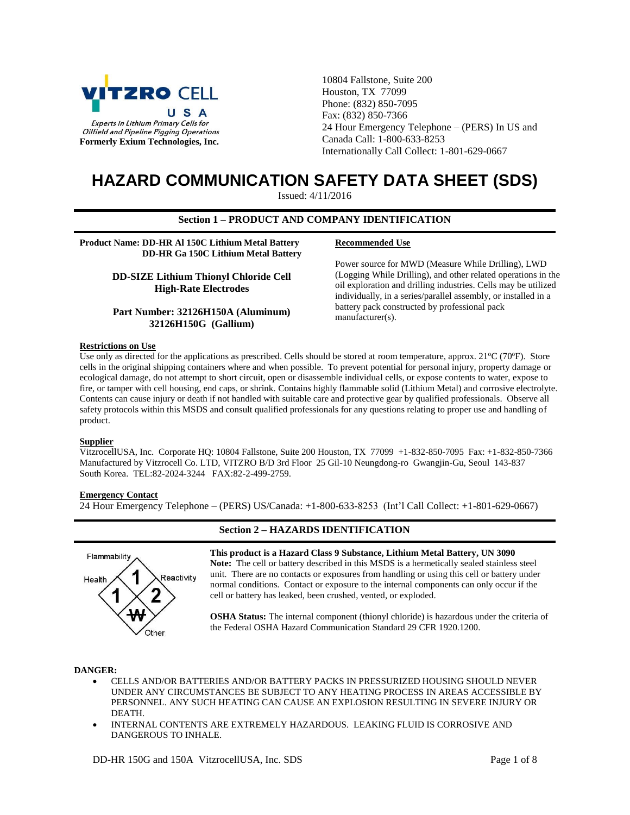

10804 Fallstone, Suite 200 Houston, TX 77099 Phone: (832) 850-7095 Fax: (832) 850-7366 24 Hour Emergency Telephone – (PERS) In US and Canada Call: 1-800-633-8253 Internationally Call Collect: 1-801-629-0667

# **HAZARD COMMUNICATION SAFETY DATA SHEET (SDS)**

Issued: 4/11/2016

## **Section 1 – PRODUCT AND COMPANY IDENTIFICATION**

**Product Name: DD-HR Al 150C Lithium Metal Battery DD-HR Ga 150C Lithium Metal Battery**

> **DD-SIZE Lithium Thionyl Chloride Cell High-Rate Electrodes**

**Part Number: 32126H150A (Aluminum) 32126H150G (Gallium)**

#### **Recommended Use**

Power source for MWD (Measure While Drilling), LWD (Logging While Drilling), and other related operations in the oil exploration and drilling industries. Cells may be utilized individually, in a series/parallel assembly, or installed in a battery pack constructed by professional pack manufacturer(s).

# **Restrictions on Use**

Use only as directed for the applications as prescribed. Cells should be stored at room temperature, approx.  $21^{\circ}C$  (70 $^{\circ}F$ ). Store cells in the original shipping containers where and when possible. To prevent potential for personal injury, property damage or ecological damage, do not attempt to short circuit, open or disassemble individual cells, or expose contents to water, expose to fire, or tamper with cell housing, end caps, or shrink. Contains highly flammable solid (Lithium Metal) and corrosive electrolyte. Contents can cause injury or death if not handled with suitable care and protective gear by qualified professionals. Observe all safety protocols within this MSDS and consult qualified professionals for any questions relating to proper use and handling of product.

#### **Supplier**

VitzrocellUSA, Inc. Corporate HQ: 10804 Fallstone, Suite 200 Houston, TX 77099 +1-832-850-7095 Fax: +1-832-850-7366 Manufactured by Vitzrocell Co. LTD, VITZRO B/D 3rd Floor 25 Gil-10 Neungdong-ro Gwangjin-Gu, Seoul 143-837 South Korea. TEL:82-2024-3244 FAX:82-2-499-2759.

#### **Emergency Contact**

24 Hour Emergency Telephone – (PERS) US/Canada: +1-800-633-8253 (Int'l Call Collect: +1-801-629-0667)



# **Section 2 – HAZARDS IDENTIFICATION**

**This product is a Hazard Class 9 Substance, Lithium Metal Battery, UN 3090 Note:** The cell or battery described in this MSDS is a hermetically sealed stainless steel unit. There are no contacts or exposures from handling or using this cell or battery under normal conditions. Contact or exposure to the internal components can only occur if the cell or battery has leaked, been crushed, vented, or exploded.

**OSHA Status:** The internal component (thionyl chloride) is hazardous under the criteria of the Federal OSHA Hazard Communication Standard 29 CFR 1920.1200.

## **DANGER:**

- CELLS AND/OR BATTERIES AND/OR BATTERY PACKS IN PRESSURIZED HOUSING SHOULD NEVER UNDER ANY CIRCUMSTANCES BE SUBJECT TO ANY HEATING PROCESS IN AREAS ACCESSIBLE BY PERSONNEL. ANY SUCH HEATING CAN CAUSE AN EXPLOSION RESULTING IN SEVERE INJURY OR DEATH.
- INTERNAL CONTENTS ARE EXTREMELY HAZARDOUS. LEAKING FLUID IS CORROSIVE AND DANGEROUS TO INHALE.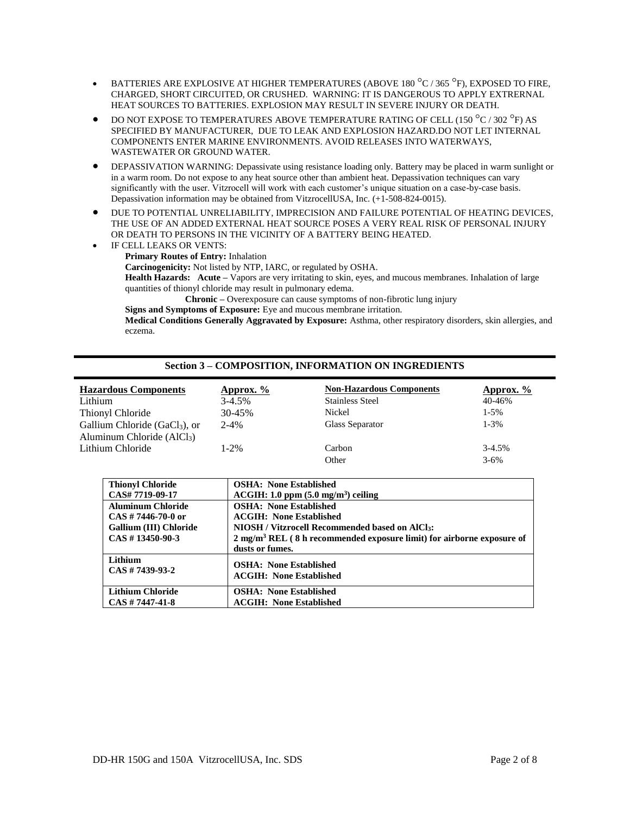- **BATTERIES ARE EXPLOSIVE AT HIGHER TEMPERATURES (ABOVE 180 °C / 365 °F), EXPOSED TO FIRE,** CHARGED, SHORT CIRCUITED, OR CRUSHED. WARNING: IT IS DANGEROUS TO APPLY EXTRERNAL HEAT SOURCES TO BATTERIES. EXPLOSION MAY RESULT IN SEVERE INJURY OR DEATH.
- DO NOT EXPOSE TO TEMPERATURES ABOVE TEMPERATURE RATING OF CELL (150  $^{\circ}$ C / 302  $^{\circ}$ F) AS SPECIFIED BY MANUFACTURER, DUE TO LEAK AND EXPLOSION HAZARD.DO NOT LET INTERNAL COMPONENTS ENTER MARINE ENVIRONMENTS. AVOID RELEASES INTO WATERWAYS, WASTEWATER OR GROUND WATER.
- DEPASSIVATION WARNING: Depassivate using resistance loading only. Battery may be placed in warm sunlight or in a warm room. Do not expose to any heat source other than ambient heat. Depassivation techniques can vary significantly with the user. Vitzrocell will work with each customer's unique situation on a case-by-case basis. Depassivation information may be obtained from VitzrocellUSA, Inc. (+1-508-824-0015).
- $\bullet$  DUE TO POTENTIAL UNRELIABILITY, IMPRECISION AND FAILURE POTENTIAL OF HEATING DEVICES, THE USE OF AN ADDED EXTERNAL HEAT SOURCE POSES A VERY REAL RISK OF PERSONAL INJURY OR DEATH TO PERSONS IN THE VICINITY OF A BATTERY BEING HEATED.
- IF CELL LEAKS OR VENTS: **Primary Routes of Entry:** Inhalation **Carcinogenicity:** Not listed by NTP, IARC, or regulated by OSHA. **Health Hazards: Acute –** Vapors are very irritating to skin, eyes, and mucous membranes. Inhalation of large quantities of thionyl chloride may result in pulmonary edema. **Chronic –** Overexposure can cause symptoms of non-fibrotic lung injury **Signs and Symptoms of Exposure:** Eye and mucous membrane irritation.

**Medical Conditions Generally Aggravated by Exposure:** Asthma, other respiratory disorders, skin allergies, and eczema.

## **Section 3 – COMPOSITION, INFORMATION ON INGREDIENTS**

| <b>Hazardous Components</b>               | Approx. $\frac{6}{6}$ | <b>Non-Hazardous Components</b> | <b>Approx.</b> % |
|-------------------------------------------|-----------------------|---------------------------------|------------------|
| Lithium                                   | $3 - 4.5\%$           | <b>Stainless Steel</b>          | 40-46%           |
| Thionyl Chloride                          | $30 - 45%$            | Nickel                          | $1-5%$           |
| Gallium Chloride (GaCl <sub>3</sub> ), or | $2 - 4%$              | Glass Separator                 | $1 - 3\%$        |
| Aluminum Chloride $(AlCl3)$               |                       |                                 |                  |
| Lithium Chloride                          | 1-2%                  | Carbon                          | $3-4.5%$         |
|                                           |                       | Other                           | $3 - 6\%$        |

| <b>Thionyl Chloride</b>       | <b>OSHA: None Established</b>                                                    |
|-------------------------------|----------------------------------------------------------------------------------|
| CAS# 7719-09-17               | $ACGIH: 1.0 ppm (5.0 mg/m3) ceiling$                                             |
| <b>Aluminum Chloride</b>      | <b>OSHA: None Established</b>                                                    |
| $CAS \# 7446-70-0$ or         | <b>ACGIH: None Established</b>                                                   |
| <b>Gallium (III) Chloride</b> | NIOSH / Vitzrocell Recommended based on AlCl <sub>3</sub> :                      |
| $CAS \# 13450-90-3$           | $2 \text{ mg/m}^3$ REL (8 h recommended exposure limit) for airborne exposure of |
|                               | dusts or fumes.                                                                  |
| Lithium                       | <b>OSHA: None Established</b>                                                    |
| $CAS \# 7439-93-2$            | <b>ACGIH: None Established</b>                                                   |
|                               |                                                                                  |
| <b>Lithium Chloride</b>       | <b>OSHA: None Established</b>                                                    |
| $CAS \# 7447 - 41 - 8$        | <b>ACGIH: None Established</b>                                                   |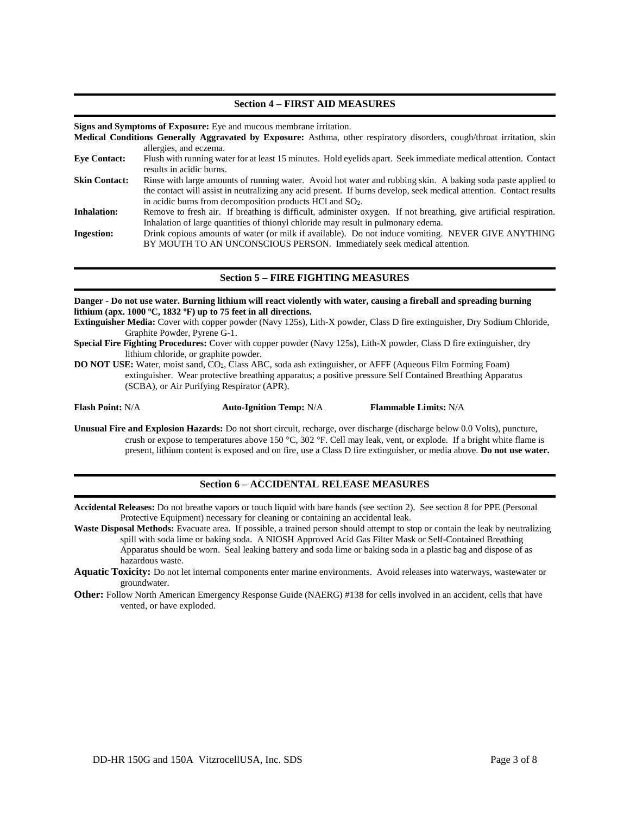## **Section 4 – FIRST AID MEASURES**

**Signs and Symptoms of Exposure:** Eye and mucous membrane irritation.

- **Medical Conditions Generally Aggravated by Exposure:** Asthma, other respiratory disorders, cough/throat irritation, skin allergies, and eczema.
- **Eye Contact:** Flush with running water for at least 15 minutes. Hold eyelids apart. Seek immediate medical attention. Contact results in acidic burns.
- **Skin Contact:** Rinse with large amounts of running water. Avoid hot water and rubbing skin. A baking soda paste applied to the contact will assist in neutralizing any acid present. If burns develop, seek medical attention. Contact results in acidic burns from decomposition products HCl and SO2.
- **Inhalation:** Remove to fresh air. If breathing is difficult, administer oxygen. If not breathing, give artificial respiration. Inhalation of large quantities of thionyl chloride may result in pulmonary edema.

**Ingestion:** Drink copious amounts of water (or milk if available). Do not induce vomiting. NEVER GIVE ANYTHING BY MOUTH TO AN UNCONSCIOUS PERSON. Immediately seek medical attention.

# **Section 5 – FIRE FIGHTING MEASURES**

#### **Danger - Do not use water. Burning lithium will react violently with water, causing a fireball and spreading burning lithium (apx. 1000 <sup>o</sup>C, 1832 <sup>o</sup>F) up to 75 feet in all directions.**

- **Extinguisher Media:** Cover with copper powder (Navy 125s), Lith-X powder, Class D fire extinguisher, Dry Sodium Chloride, Graphite Powder, Pyrene G-1.
- **Special Fire Fighting Procedures:** Cover with copper powder (Navy 125s), Lith-X powder, Class D fire extinguisher, dry lithium chloride, or graphite powder.
- **DO NOT USE:** Water, moist sand, CO2, Class ABC, soda ash extinguisher, or AFFF (Aqueous Film Forming Foam) extinguisher. Wear protective breathing apparatus; a positive pressure Self Contained Breathing Apparatus (SCBA), or Air Purifying Respirator (APR).

**Flash Point:** N/A **Auto-Ignition Temp:** N/A **Flammable Limits:** N/A

**Unusual Fire and Explosion Hazards:** Do not short circuit, recharge, over discharge (discharge below 0.0 Volts), puncture, crush or expose to temperatures above 150 °C, 302 °F. Cell may leak, vent, or explode. If a bright white flame is present, lithium content is exposed and on fire, use a Class D fire extinguisher, or media above. **Do not use water.**

## **Section 6 – ACCIDENTAL RELEASE MEASURES**

**Accidental Releases:** Do not breathe vapors or touch liquid with bare hands (see section 2). See section 8 for PPE (Personal Protective Equipment) necessary for cleaning or containing an accidental leak.

**Waste Disposal Methods:** Evacuate area. If possible, a trained person should attempt to stop or contain the leak by neutralizing spill with soda lime or baking soda. A NIOSH Approved Acid Gas Filter Mask or Self-Contained Breathing Apparatus should be worn. Seal leaking battery and soda lime or baking soda in a plastic bag and dispose of as hazardous waste.

- **Aquatic Toxicity:** Do not let internal components enter marine environments. Avoid releases into waterways, wastewater or groundwater.
- **Other:** Follow North American Emergency Response Guide (NAERG) #138 for cells involved in an accident, cells that have vented, or have exploded.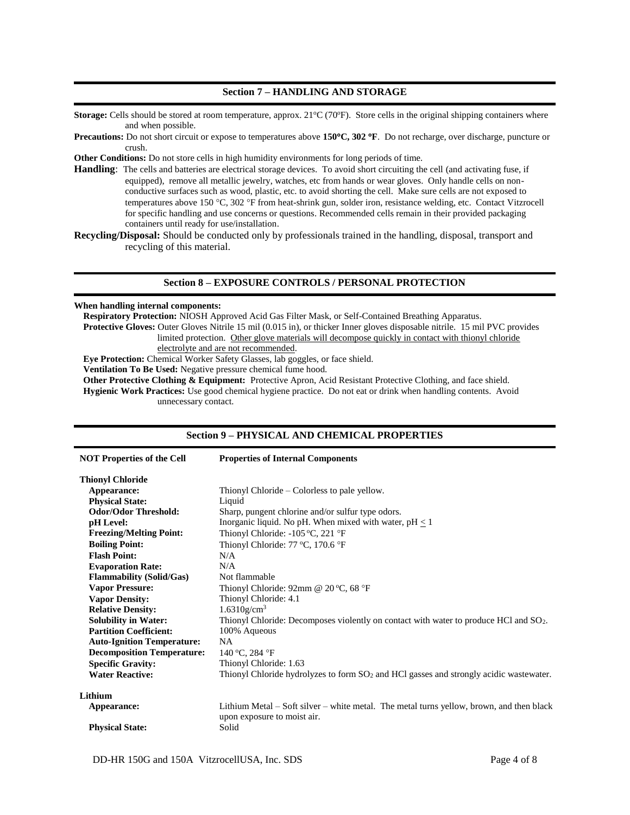# **Section 7 – HANDLING AND STORAGE**

**Storage:** Cells should be stored at room temperature, approx.  $21^{\circ}C(70^{\circ}F)$ . Store cells in the original shipping containers where and when possible.

- **Precautions:** Do not short circuit or expose to temperatures above **150C, 302 F**. Do not recharge, over discharge, puncture or crush.
- **Other Conditions:** Do not store cells in high humidity environments for long periods of time.
- **Handling**: The cells and batteries are electrical storage devices. To avoid short circuiting the cell (and activating fuse, if equipped), remove all metallic jewelry, watches, etc from hands or wear gloves. Only handle cells on nonconductive surfaces such as wood, plastic, etc. to avoid shorting the cell. Make sure cells are not exposed to temperatures above 150 °C, 302 °F from heat-shrink gun, solder iron, resistance welding, etc. Contact Vitzrocell for specific handling and use concerns or questions. Recommended cells remain in their provided packaging containers until ready for use/installation.

**Recycling/Disposal:** Should be conducted only by professionals trained in the handling, disposal, transport and recycling of this material.

# **Section 8 – EXPOSURE CONTROLS / PERSONAL PROTECTION**

## **When handling internal components:**

**Respiratory Protection:** NIOSH Approved Acid Gas Filter Mask, or Self-Contained Breathing Apparatus.

**Protective Gloves:** Outer Gloves Nitrile 15 mil (0.015 in), or thicker Inner gloves disposable nitrile. 15 mil PVC provides limited protection. Other glove materials will decompose quickly in contact with thionyl chloride

electrolyte and are not recommended.

**Eye Protection:** Chemical Worker Safety Glasses, lab goggles, or face shield.

**Ventilation To Be Used:** Negative pressure chemical fume hood.

**Other Protective Clothing & Equipment:** Protective Apron, Acid Resistant Protective Clothing, and face shield.

**Hygienic Work Practices:** Use good chemical hygiene practice. Do not eat or drink when handling contents. Avoid unnecessary contact.

# **Section 9 – PHYSICAL AND CHEMICAL PROPERTIES**

| <b>NOT Properties of the Cell</b> | <b>Properties of Internal Components</b>                                                                                |  |
|-----------------------------------|-------------------------------------------------------------------------------------------------------------------------|--|
| <b>Thionyl Chloride</b>           |                                                                                                                         |  |
| Appearance:                       | Thionyl Chloride – Colorless to pale yellow.                                                                            |  |
| <b>Physical State:</b>            | Liquid                                                                                                                  |  |
| <b>Odor/Odor Threshold:</b>       | Sharp, pungent chlorine and/or sulfur type odors.                                                                       |  |
| pH Level:                         | Inorganic liquid. No pH. When mixed with water, $pH < 1$                                                                |  |
| <b>Freezing/Melting Point:</b>    | Thionyl Chloride: -105 °C, 221 °F                                                                                       |  |
| <b>Boiling Point:</b>             | Thionyl Chloride: 77 °C, 170.6 °F                                                                                       |  |
| <b>Flash Point:</b>               | N/A                                                                                                                     |  |
| <b>Evaporation Rate:</b>          | N/A                                                                                                                     |  |
| <b>Flammability (Solid/Gas)</b>   | Not flammable                                                                                                           |  |
| <b>Vapor Pressure:</b>            | Thionyl Chloride: 92mm @ 20 °C, 68 °F                                                                                   |  |
| <b>Vapor Density:</b>             | Thionyl Chloride: 4.1                                                                                                   |  |
| <b>Relative Density:</b>          | $1.6310$ g/cm <sup>3</sup>                                                                                              |  |
| <b>Solubility in Water:</b>       | Thionyl Chloride: Decomposes violently on contact with water to produce HCl and SO <sub>2</sub> .                       |  |
| <b>Partition Coefficient:</b>     | 100% Aqueous                                                                                                            |  |
| <b>Auto-Ignition Temperature:</b> | NA.                                                                                                                     |  |
| <b>Decomposition Temperature:</b> | 140 °C, 284 °F                                                                                                          |  |
| <b>Specific Gravity:</b>          | Thionyl Chloride: 1.63                                                                                                  |  |
| <b>Water Reactive:</b>            | Thionyl Chloride hydrolyzes to form $SO2$ and HCl gasses and strongly acidic wastewater.                                |  |
| Lithium                           |                                                                                                                         |  |
| Appearance:                       | Lithium Metal – Soft silver – white metal. The metal turns yellow, brown, and then black<br>upon exposure to moist air. |  |
| <b>Physical State:</b>            | Solid                                                                                                                   |  |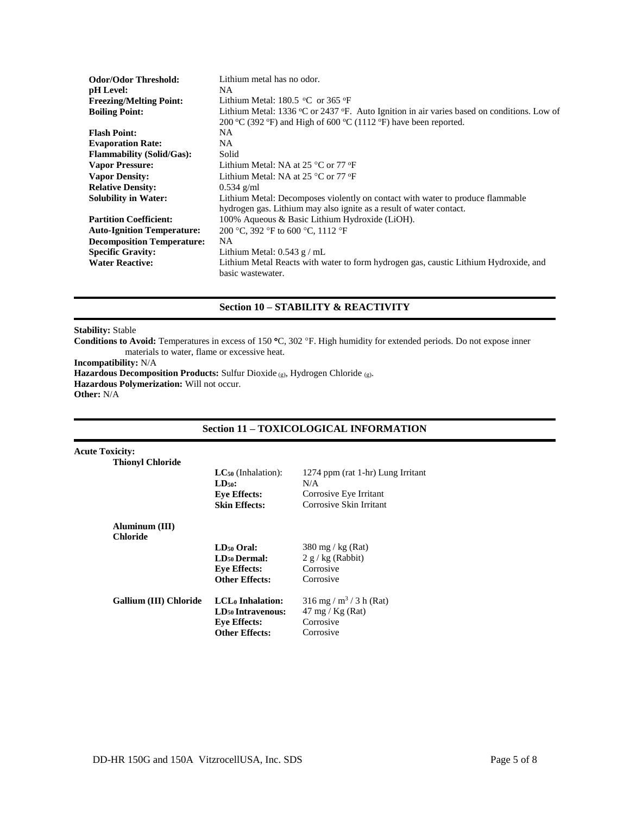| <b>Odor/Odor Threshold:</b>       | Lithium metal has no odor.                                                                 |
|-----------------------------------|--------------------------------------------------------------------------------------------|
| pH Level:                         | NA.                                                                                        |
| <b>Freezing/Melting Point:</b>    | Lithium Metal: $180.5 \text{ °C}$ or $365 \text{ °F}$                                      |
| <b>Boiling Point:</b>             | Lithium Metal: 1336 °C or 2437 °F. Auto Ignition in air varies based on conditions. Low of |
|                                   | 200 °C (392 °F) and High of 600 °C (1112 °F) have been reported.                           |
| <b>Flash Point:</b>               | NA                                                                                         |
| <b>Evaporation Rate:</b>          | NA.                                                                                        |
| <b>Flammability (Solid/Gas):</b>  | Solid                                                                                      |
| <b>Vapor Pressure:</b>            | Lithium Metal: NA at 25 $^{\circ}$ C or 77 $^{\circ}$ F                                    |
| <b>Vapor Density:</b>             | Lithium Metal: NA at $25^{\circ}$ C or $77^{\circ}$ F                                      |
| <b>Relative Density:</b>          | $0.534$ g/ml                                                                               |
| <b>Solubility in Water:</b>       | Lithium Metal: Decomposes violently on contact with water to produce flammable             |
|                                   | hydrogen gas. Lithium may also ignite as a result of water contact.                        |
| <b>Partition Coefficient:</b>     | 100% Aqueous & Basic Lithium Hydroxide (LiOH).                                             |
| <b>Auto-Ignition Temperature:</b> | 200 °C, 392 °F to 600 °C, 1112 °F                                                          |
| <b>Decomposition Temperature:</b> | NA.                                                                                        |
| <b>Specific Gravity:</b>          | Lithium Metal: $0.543$ g / mL                                                              |
| <b>Water Reactive:</b>            | Lithium Metal Reacts with water to form hydrogen gas, caustic Lithium Hydroxide, and       |
|                                   | basic wastewater.                                                                          |

# **Section 10 – STABILITY & REACTIVITY**

### **Stability:** Stable

Conditions to Avoid: Temperatures in excess of 150 °C, 302 °F. High humidity for extended periods. Do not expose inner materials to water, flame or excessive heat.

**Incompatibility:** N/A

**Hazardous Decomposition Products:** Sulfur Dioxide (g), Hydrogen Chloride (g).

**Hazardous Polymerization:** Will not occur.

**Other:** N/A

# **Section 11 – TOXICOLOGICAL INFORMATION**

| <b>Acute Toxicity:</b> |                         |
|------------------------|-------------------------|
|                        | <b>Thionyl Chloride</b> |

|                               | $LC_{50}$ (Inhalation):<br>$LD50$ :<br><b>Eve Effects:</b><br><b>Skin Effects:</b> | 1274 ppm (rat 1-hr) Lung Irritant<br>N/A<br>Corrosive Eye Irritant<br>Corrosive Skin Irritant |
|-------------------------------|------------------------------------------------------------------------------------|-----------------------------------------------------------------------------------------------|
| Aluminum (III)                |                                                                                    |                                                                                               |
| <b>Chloride</b>               | $LD50$ Oral:                                                                       | $380 \,\mathrm{mg}$ / kg (Rat)                                                                |
|                               | LD <sub>50</sub> Dermal:                                                           | $2 g/kg$ (Rabbit)                                                                             |
|                               | <b>Eve Effects:</b>                                                                | Corrosive                                                                                     |
|                               | <b>Other Effects:</b>                                                              | Corrosive                                                                                     |
| <b>Gallium (III) Chloride</b> | LCL <sub>0</sub> Inhalation:                                                       | $316$ mg / m <sup>3</sup> / 3 h (Rat)                                                         |
|                               | LD <sub>50</sub> Intravenous:                                                      | $47 \text{ mg} / \text{Kg}$ (Rat)                                                             |
|                               | <b>Eve Effects:</b>                                                                | Corrosive                                                                                     |
|                               | <b>Other Effects:</b>                                                              | Corrosive                                                                                     |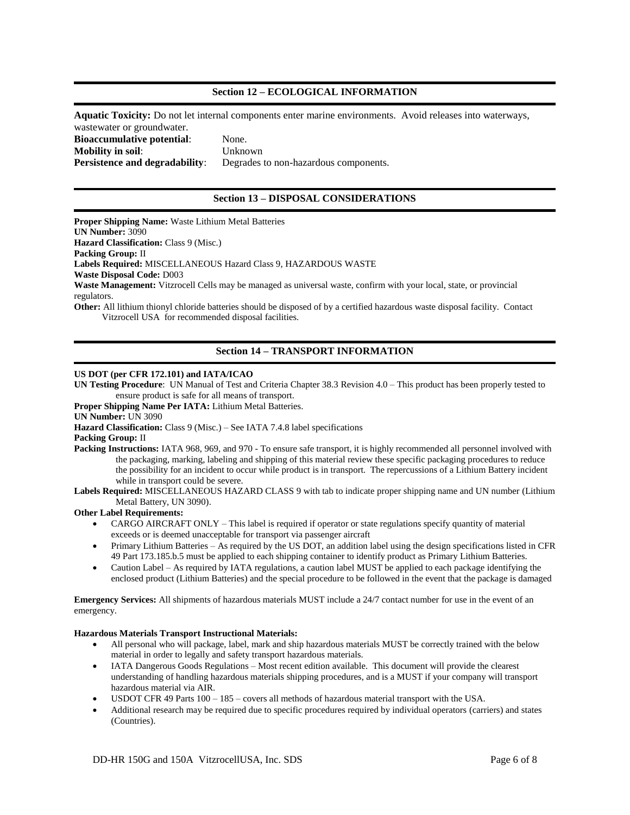# **Section 12 – ECOLOGICAL INFORMATION**

**Aquatic Toxicity:** Do not let internal components enter marine environments. Avoid releases into waterways, wastewater or groundwater. **Bioaccumulative potential**: None.

**Mobility in soil**: Unknown **Persistence and degradability:** Degrades to non-hazardous components.

# **Section 13 – DISPOSAL CONSIDERATIONS**

**Proper Shipping Name:** Waste Lithium Metal Batteries **UN Number:** 3090 **Hazard Classification: Class 9 (Misc.) Packing Group:** II **Labels Required:** MISCELLANEOUS Hazard Class 9, HAZARDOUS WASTE **Waste Disposal Code:** D003 **Waste Management:** Vitzrocell Cells may be managed as universal waste, confirm with your local, state, or provincial regulators. **Other:** All lithium thionyl chloride batteries should be disposed of by a certified hazardous waste disposal facility. Contact Vitzrocell USA for recommended disposal facilities.

# **Section 14 – TRANSPORT INFORMATION**

### **US DOT (per CFR 172.101) and IATA/ICAO**

**UN Testing Procedure**: UN Manual of Test and Criteria Chapter 38.3 Revision 4.0 – This product has been properly tested to ensure product is safe for all means of transport.

**Proper Shipping Name Per IATA:** Lithium Metal Batteries.

**UN Number:** UN 3090

Hazard Classification: Class 9 (Misc.) – See IATA 7.4.8 label specifications

**Packing Group:** II

**Packing Instructions:** IATA 968, 969, and 970 - To ensure safe transport, it is highly recommended all personnel involved with the packaging, marking, labeling and shipping of this material review these specific packaging procedures to reduce the possibility for an incident to occur while product is in transport. The repercussions of a Lithium Battery incident while in transport could be severe.

**Labels Required:** MISCELLANEOUS HAZARD CLASS 9 with tab to indicate proper shipping name and UN number (Lithium Metal Battery, UN 3090).

#### **Other Label Requirements:**

- CARGO AIRCRAFT ONLY This label is required if operator or state regulations specify quantity of material exceeds or is deemed unacceptable for transport via passenger aircraft
- Primary Lithium Batteries As required by the US DOT, an addition label using the design specifications listed in CFR 49 Part 173.185.b.5 must be applied to each shipping container to identify product as Primary Lithium Batteries.
- Caution Label As required by IATA regulations, a caution label MUST be applied to each package identifying the enclosed product (Lithium Batteries) and the special procedure to be followed in the event that the package is damaged

**Emergency Services:** All shipments of hazardous materials MUST include a 24/7 contact number for use in the event of an emergency.

#### **Hazardous Materials Transport Instructional Materials:**

- All personal who will package, label, mark and ship hazardous materials MUST be correctly trained with the below material in order to legally and safety transport hazardous materials.
- IATA Dangerous Goods Regulations Most recent edition available. This document will provide the clearest understanding of handling hazardous materials shipping procedures, and is a MUST if your company will transport hazardous material via AIR.
- USDOT CFR 49 Parts 100 185 covers all methods of hazardous material transport with the USA.
- Additional research may be required due to specific procedures required by individual operators (carriers) and states (Countries).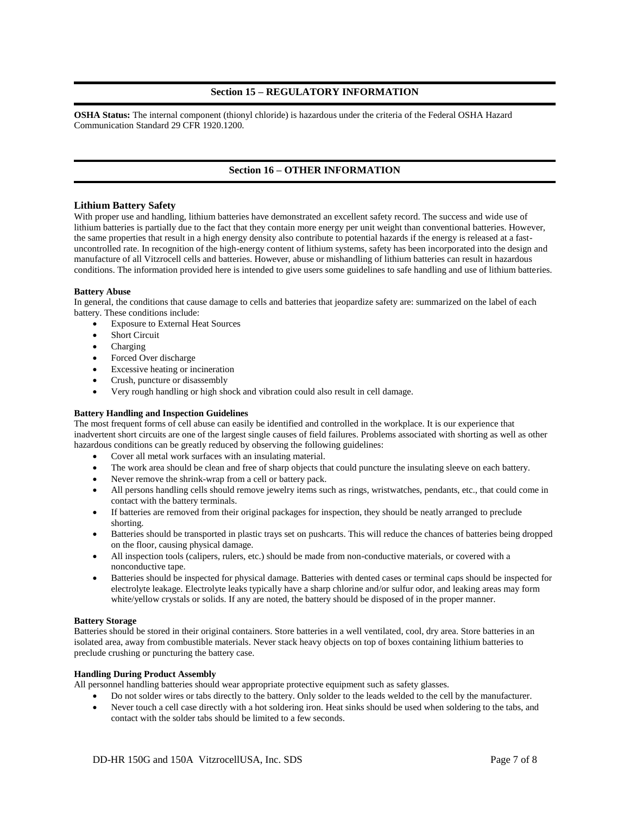# **Section 15 – REGULATORY INFORMATION**

**OSHA Status:** The internal component (thionyl chloride) is hazardous under the criteria of the Federal OSHA Hazard Communication Standard 29 CFR 1920.1200.

# **Section 16 – OTHER INFORMATION**

#### **Lithium Battery Safety**

With proper use and handling, lithium batteries have demonstrated an excellent safety record. The success and wide use of lithium batteries is partially due to the fact that they contain more energy per unit weight than conventional batteries. However, the same properties that result in a high energy density also contribute to potential hazards if the energy is released at a fastuncontrolled rate. In recognition of the high-energy content of lithium systems, safety has been incorporated into the design and manufacture of all Vitzrocell cells and batteries. However, abuse or mishandling of lithium batteries can result in hazardous conditions. The information provided here is intended to give users some guidelines to safe handling and use of lithium batteries.

#### **Battery Abuse**

In general, the conditions that cause damage to cells and batteries that jeopardize safety are: summarized on the label of each battery. These conditions include:

- Exposure to External Heat Sources
- Short Circuit
- Charging
- Forced Over discharge
- Excessive heating or incineration
- Crush, puncture or disassembly
- Very rough handling or high shock and vibration could also result in cell damage.

#### **Battery Handling and Inspection Guidelines**

The most frequent forms of cell abuse can easily be identified and controlled in the workplace. It is our experience that inadvertent short circuits are one of the largest single causes of field failures. Problems associated with shorting as well as other hazardous conditions can be greatly reduced by observing the following guidelines:

- Cover all metal work surfaces with an insulating material.
- The work area should be clean and free of sharp objects that could puncture the insulating sleeve on each battery.
- Never remove the shrink-wrap from a cell or battery pack.
- All persons handling cells should remove jewelry items such as rings, wristwatches, pendants, etc., that could come in contact with the battery terminals.
- If batteries are removed from their original packages for inspection, they should be neatly arranged to preclude shorting.
- Batteries should be transported in plastic trays set on pushcarts. This will reduce the chances of batteries being dropped on the floor, causing physical damage.
- All inspection tools (calipers, rulers, etc.) should be made from non-conductive materials, or covered with a nonconductive tape.
- Batteries should be inspected for physical damage. Batteries with dented cases or terminal caps should be inspected for electrolyte leakage. Electrolyte leaks typically have a sharp chlorine and/or sulfur odor, and leaking areas may form white/yellow crystals or solids. If any are noted, the battery should be disposed of in the proper manner.

#### **Battery Storage**

Batteries should be stored in their original containers. Store batteries in a well ventilated, cool, dry area. Store batteries in an isolated area, away from combustible materials. Never stack heavy objects on top of boxes containing lithium batteries to preclude crushing or puncturing the battery case.

#### **Handling During Product Assembly**

All personnel handling batteries should wear appropriate protective equipment such as safety glasses.

- Do not solder wires or tabs directly to the battery. Only solder to the leads welded to the cell by the manufacturer.
- Never touch a cell case directly with a hot soldering iron. Heat sinks should be used when soldering to the tabs, and contact with the solder tabs should be limited to a few seconds.